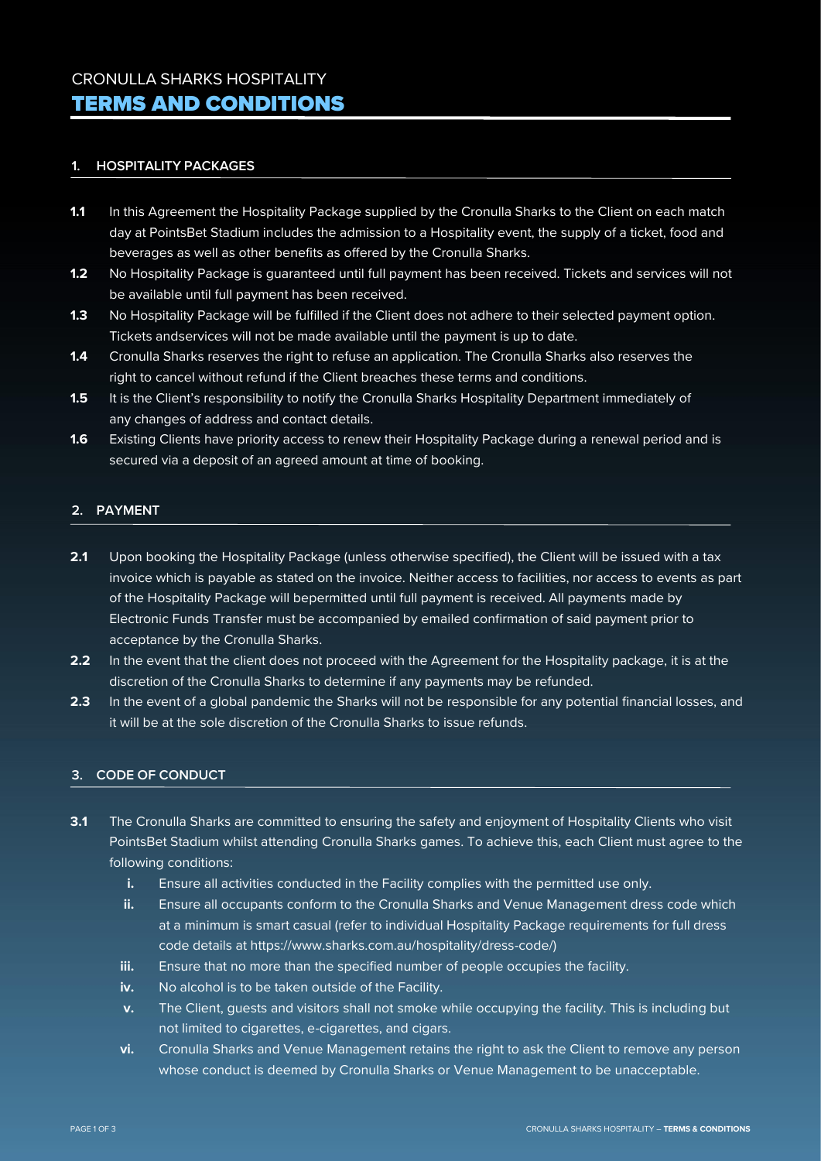#### **1. HOSPITALITY PACKAGES**

- **1.1** In this Agreement the Hospitality Package supplied by the Cronulla Sharks to the Client on each match day at PointsBet Stadium includes the admission to a Hospitality event, the supply of a ticket, food and beverages as well as other benefits as offered by the Cronulla Sharks.
- **1.2** No Hospitality Package is guaranteed until full payment has been received. Tickets and services will not be available until full payment has been received.
- **1.3** No Hospitality Package will be fulfilled if the Client does not adhere to their selected payment option. Tickets andservices will not be made available until the payment is up to date.
- **1.4** Cronulla Sharks reserves the right to refuse an application. The Cronulla Sharks also reserves the right to cancel without refund if the Client breaches these terms and conditions.
- 1.5 It is the Client's responsibility to notify the Cronulla Sharks Hospitality Department immediately of any changes of address and contact details.
- **1.6** Existing Clients have priority access to renew their Hospitality Package during a renewal period and is secured via a deposit of an agreed amount at time of booking.

## **2. PAYMENT**

- **2.1** Upon booking the Hospitality Package (unless otherwise specified), the Client will be issued with a tax invoice which is payable as stated on the invoice. Neither access to facilities, nor access to events as part of the Hospitality Package will bepermitted until full payment is received. All payments made by Electronic Funds Transfer must be accompanied by emailed confirmation of said payment prior to acceptance by the Cronulla Sharks.
- **2.2** In the event that the client does not proceed with the Agreement for the Hospitality package, it is at the discretion of the Cronulla Sharks to determine if any payments may be refunded.
- **2.3** In the event of a global pandemic the Sharks will not be responsible for any potential financial losses, and it will be at the sole discretion of the Cronulla Sharks to issue refunds.

## **3. CODE OF CONDUCT**

- **3.1** The Cronulla Sharks are committed to ensuring the safety and enjoyment of Hospitality Clients who visit PointsBet Stadium whilst attending Cronulla Sharks games. To achieve this, each Client must agree to the following conditions:
	- **i.** Ensure all activities conducted in the Facility complies with the permitted use only.
	- **ii.** Ensure all occupants conform to the Cronulla Sharks and Venue Management dress code which at a minimum is smart casual (refer to individual Hospitality Package requirements for full dress code details at [https://www.](http://www.sharks.com.au/)sharks[.com.au/h](http://www.sharks.com.au/)ospitality/dress-code/)
	- **iii.** Ensure that no more than the specified number of people occupies the facility.
	- **iv.** No alcohol is to be taken outside of the Facility.
	- **v.** The Client, guests and visitors shall not smoke while occupying the facility. This is including but not limited to cigarettes, e-cigarettes, and cigars.
	- **vi.** Cronulla Sharks and Venue Management retains the right to ask the Client to remove any person whose conduct is deemed by Cronulla Sharks or Venue Management to be unacceptable.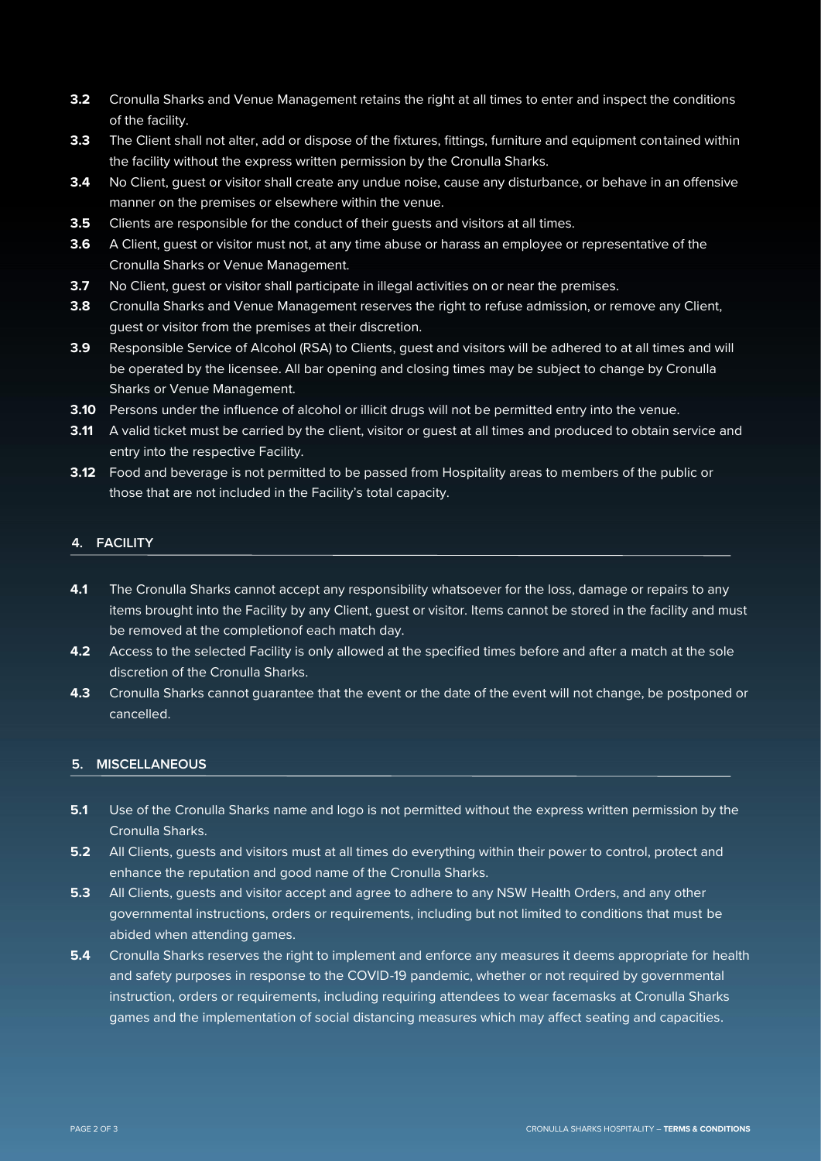- **3.2** Cronulla Sharks and Venue Management retains the right at all times to enter and inspect the conditions of the facility.
- **3.3** The Client shall not alter, add or dispose of the fixtures, fittings, furniture and equipment contained within the facility without the express written permission by the Cronulla Sharks.
- **3.4** No Client, guest or visitor shall create any undue noise, cause any disturbance, or behave in an offensive manner on the premises or elsewhere within the venue.
- **3.5** Clients are responsible for the conduct of their quests and visitors at all times.
- **3.6** A Client, guest or visitor must not, at any time abuse or harass an employee or representative of the Cronulla Sharks or Venue Management.
- **3.7** No Client, quest or visitor shall participate in illegal activities on or near the premises.
- **3.8** Cronulla Sharks and Venue Management reserves the right to refuse admission, or remove any Client, guest or visitor from the premises at their discretion.
- **3.9** Responsible Service of Alcohol (RSA) to Clients, guest and visitors will be adhered to at all times and will be operated by the licensee. All bar opening and closing times may be subject to change by Cronulla Sharks or Venue Management.
- **3.10** Persons under the influence of alcohol or illicit drugs will not be permitted entry into the venue.
- **3.11** A valid ticket must be carried by the client, visitor or quest at all times and produced to obtain service and entry into the respective Facility.
- **3.12** Food and beverage is not permitted to be passed from Hospitality areas to members of the public or those that are not included in the Facility's total capacity.

### **4. FACILITY**

- **4.1** The Cronulla Sharks cannot accept any responsibility whatsoever for the loss, damage or repairs to any items brought into the Facility by any Client, guest or visitor. Items cannot be stored in the facility and must be removed at the completionof each match day.
- **4.2** Access to the selected Facility is only allowed at the specified times before and after a match at the sole discretion of the Cronulla Sharks.
- **4.3** Cronulla Sharks cannot guarantee that the event or the date of the event will not change, be postponed or cancelled.

### **5. MISCELLANEOUS**

- **5.1** Use of the Cronulla Sharks name and logo is not permitted without the express written permission by the Cronulla Sharks.
- **5.2** All Clients, guests and visitors must at all times do everything within their power to control, protect and enhance the reputation and good name of the Cronulla Sharks.
- **5.3** All Clients, guests and visitor accept and agree to adhere to any NSW Health Orders, and any other governmental instructions, orders or requirements, including but not limited to conditions that must be abided when attending games.
- **5.4** Cronulla Sharks reserves the right to implement and enforce any measures it deems appropriate for health and safety purposes in response to the COVID-19 pandemic, whether or not required by governmental instruction, orders or requirements, including requiring attendees to wear facemasks at Cronulla Sharks games and the implementation of social distancing measures which may affect seating and capacities.